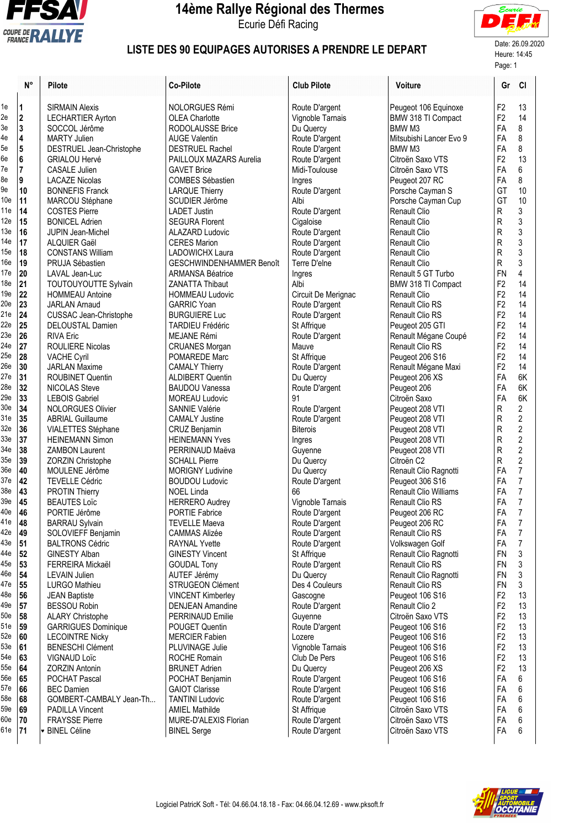

## **14ème Rallye Régional des Thermes**

Ecurie Défi Racing



## LISTE DES 90 EQUIPAGES AUTORISES A PRENDRE LE DEPART Date: 26.09.2020

Page: 1

|                 | N°                      | Pilote                                     | <b>Co-Pilote</b>                                 | <b>Club Pilote</b>            | <b>Voiture</b>                        |                                  | Gr Cl                   |
|-----------------|-------------------------|--------------------------------------------|--------------------------------------------------|-------------------------------|---------------------------------------|----------------------------------|-------------------------|
| 1e              | $\vert$ 1               | <b>SIRMAIN Alexis</b>                      | <b>NOLORGUES Rémi</b>                            | Route D'argent                | Peugeot 106 Equinoxe                  | F <sub>2</sub>                   | 13                      |
| 2e              | 2                       | <b>LECHARTIER Ayrton</b>                   | <b>OLEA Charlotte</b>                            | Vignoble Tarnais              | BMW 318 TI Compact                    | F <sub>2</sub>                   | 14                      |
| 3e              | $\mathbf 3$             | SOCCOL Jérôme                              | RODOLAUSSE Brice                                 | Du Quercy                     | BMW M3                                | FA                               | 8                       |
| 4e              | $\overline{\mathbf{4}}$ | <b>MARTY Julien</b>                        | <b>AUGE Valentin</b>                             | Route D'argent                | Mitsubishi Lancer Evo 9               | FA                               | $\bf 8$                 |
| 5e              | $\overline{5}$          | DESTRUEL Jean-Christophe                   | <b>DESTRUEL Rachel</b>                           | Route D'argent                | BMW <sub>M3</sub>                     | FA                               | 8                       |
| 6e              | $\bf 6$                 | <b>GRIALOU Hervé</b>                       | PAILLOUX MAZARS Aurelia                          | Route D'argent                | Citroën Saxo VTS                      | F <sub>2</sub>                   | 13                      |
| 7e              | $\overline{7}$          | <b>CASALE Julien</b>                       | <b>GAVET Brice</b>                               | Midi-Toulouse                 | Citroën Saxo VTS                      | FA                               | 6                       |
| 8e              | 9                       | <b>LACAZE Nicolas</b>                      | <b>COMBES Sébastien</b>                          | Ingres                        | Peugeot 207 RC                        | FA                               | 8                       |
| 9e              | 10                      | <b>BONNEFIS Franck</b>                     | <b>LARQUE Thierry</b>                            | Route D'argent                | Porsche Cayman S                      | GT                               | 10                      |
| 10e             | 11                      | MARCOU Stéphane                            | SCUDIER Jérôme                                   | Albi                          | Porsche Cayman Cup                    | GT                               | 10                      |
| 11e             | 14                      | <b>COSTES Pierre</b>                       | <b>LADET Justin</b>                              | Route D'argent                | <b>Renault Clio</b>                   | R                                | 3                       |
| 12e             | 15                      | <b>BONICEL Adrien</b>                      | <b>SEGURA Florent</b>                            | Cigaloise                     | <b>Renault Clio</b>                   | R                                | 3                       |
| 13e             | 16                      | <b>JUPIN Jean-Michel</b>                   | <b>ALAZARD Ludovic</b>                           | Route D'argent                | Renault Clio                          | R                                | $\mathfrak z$           |
| 14e             | 17                      | ALQUIER Gaël                               | <b>CERES Marion</b>                              | Route D'argent                | <b>Renault Clio</b>                   | R                                | $\mathfrak{z}$          |
| 15e             | 18                      | <b>CONSTANS William</b>                    | <b>LADOWICHX Laura</b>                           | Route D'argent                | <b>Renault Clio</b>                   | R                                | $\frac{3}{3}$           |
| 16e             | 19                      | PRUJA Sébastien                            | GESCHWINDENHAMMER Benoît                         | Terre D'elne                  | <b>Renault Clio</b>                   | R                                |                         |
| 17e             | 20                      | LAVAL Jean-Luc                             | <b>ARMANSA Béatrice</b>                          | Ingres                        | Renault 5 GT Turbo                    | <b>FN</b>                        | $\overline{4}$          |
| 18 <sub>e</sub> | 21                      | TOUTOUYOUTTE Sylvain                       | <b>ZANATTA Thibaut</b>                           | Albi                          | BMW 318 TI Compact                    | F <sub>2</sub>                   | 14                      |
| 19e             | 22                      | <b>HOMMEAU Antoine</b>                     | <b>HOMMEAU Ludovic</b>                           | Circuit De Merignac           | <b>Renault Clio</b>                   | F <sub>2</sub>                   | 14                      |
| 20e<br>21e      | 23                      | <b>JARLAN Arnaud</b>                       | <b>GARRIC Yoan</b>                               | Route D'argent                | <b>Renault Clio RS</b>                | F <sub>2</sub>                   | 14                      |
|                 | 24                      | CUSSAC Jean-Christophe                     | <b>BURGUIERE Luc</b>                             | Route D'argent                | <b>Renault Clio RS</b>                | F <sub>2</sub>                   | 14                      |
| 22e             | 25                      | DELOUSTAL Damien                           | <b>TARDIEU Frédéric</b>                          | St Affrique                   | Peugeot 205 GTI                       | F <sub>2</sub>                   | 14                      |
| 23e<br>24e      | 26                      | <b>RIVA Eric</b>                           | MEJANE Rémi                                      | Route D'argent                | Renault Mégane Coupé                  | F <sub>2</sub>                   | 14                      |
| 25e             | 27<br>28                | <b>ROULIERE Nicolas</b>                    | <b>CRUANES Morgan</b>                            | Mauve                         | Renault Clio RS                       | F <sub>2</sub><br>F <sub>2</sub> | 14<br>14                |
| 26e             | 30                      | <b>VACHE Cyril</b><br><b>JARLAN Maxime</b> | POMAREDE Marc                                    | St Affrique<br>Route D'argent | Peugeot 206 S16                       | F <sub>2</sub>                   | 14                      |
| 27e             | 31                      | ROUBINET Quentin                           | <b>CAMALY Thierry</b><br><b>ALDIBERT Quentin</b> | Du Quercy                     | Renault Mégane Maxi<br>Peugeot 206 XS | FA                               | 6K                      |
| 28e             | 32                      | <b>NICOLAS Steve</b>                       | <b>BAUDOU Vanessa</b>                            | Route D'argent                | Peugeot 206                           | FA                               | 6K                      |
| 29e             | 33                      | <b>LEBOIS Gabriel</b>                      | <b>MOREAU Ludovic</b>                            | 91                            | Citroën Saxo                          | FA                               | 6K                      |
| 30 <sub>e</sub> | 34                      | <b>NOLORGUES Olivier</b>                   | <b>SANNIE Valérie</b>                            | Route D'argent                | Peugeot 208 VTI                       | R                                | 2                       |
| 31e             | 35                      | <b>ABRIAL Guillaume</b>                    | <b>CAMALY Justine</b>                            | Route D'argent                | Peugeot 208 VTI                       | R                                | $\overline{2}$          |
| 32e             | 36                      | VIALETTES Stéphane                         | <b>CRUZ Benjamin</b>                             | <b>Biterois</b>               | Peugeot 208 VTI                       | R                                | $\overline{\mathbf{c}}$ |
| 33e             | 37                      | <b>HEINEMANN Simon</b>                     | <b>HEINEMANN Yves</b>                            | Ingres                        | Peugeot 208 VTI                       | R                                | $\overline{c}$          |
| 34e             | 38                      | <b>ZAMBON Laurent</b>                      | PERRINAUD Maëva                                  | Guyenne                       | Peugeot 208 VTI                       | R                                |                         |
| 35 <sub>e</sub> | 39                      | ZORZIN Christophe                          | <b>SCHALL Pierre</b>                             | Du Quercy                     | Citroën C2                            | R                                | $\frac{2}{2}$           |
| 36e             | 40                      | MOULENE Jérôme                             | <b>MORIGNY Ludivine</b>                          | Du Quercy                     | Renault Clio Ragnotti                 | FA                               | $\overline{7}$          |
| 37e             | 42                      | <b>TEVELLE Cédric</b>                      | <b>BOUDOU Ludovic</b>                            | Route D'argent                | Peugeot 306 S16                       | FA                               | $\overline{7}$          |
| 38e             | 43                      | <b>PROTIN Thierry</b>                      | <b>NOEL Linda</b>                                | 66                            | <b>Renault Clio Williams</b>          | FA                               | $\overline{7}$          |
| 39e             | 45                      | <b>BEAUTES Loïc</b>                        | <b>HERRERO Audrey</b>                            | Vignoble Tarnais              | Renault Clio RS                       | FA                               | $\overline{7}$          |
| 40e             | 46                      | PORTIE Jérôme                              | PORTIE Fabrice                                   | Route D'argent                | Peugeot 206 RC                        | FA                               | $\overline{7}$          |
| 41e             | 48                      | <b>BARRAU Sylvain</b>                      | <b>TEVELLE Maeva</b>                             | Route D'argent                | Peugeot 206 RC                        | FA                               | $\overline{7}$          |
| 42e             | 49                      | SOLOVIEFF Benjamin                         | <b>CAMMAS Alizée</b>                             | Route D'argent                | <b>Renault Clio RS</b>                | FA                               | $\overline{7}$          |
| 43e             | 51                      | <b>BALTRONS Cédric</b>                     | <b>RAYNAL Yvette</b>                             | Route D'argent                | Volkswagen Golf                       | FA                               | $\overline{7}$          |
| 44e             | 52                      | <b>GINESTY Alban</b>                       | <b>GINESTY Vincent</b>                           | St Affrique                   | Renault Clio Ragnotti                 | <b>FN</b>                        | $\mathfrak{Z}$          |
| 45e             | 53                      | <b>FERREIRA Mickaël</b>                    | <b>GOUDAL Tony</b>                               | Route D'argent                | Renault Clio RS                       | <b>FN</b>                        | $\sqrt{3}$              |
| 46e             | 54                      | <b>LEVAIN Julien</b>                       | AUTEF Jérémy                                     | Du Quercy                     | Renault Clio Ragnotti                 | <b>FN</b>                        | $\sqrt{3}$              |
| 47e             | 55                      | <b>LURGO Mathieu</b>                       | STRUGEON Clément                                 | Des 4 Couleurs                | Renault Clio RS                       | <b>FN</b>                        | 3                       |
| 48e             | 56                      | <b>JEAN Baptiste</b>                       | <b>VINCENT Kimberley</b>                         | Gascogne                      | Peugeot 106 S16                       | F <sub>2</sub>                   | 13                      |
| 49e             | 57                      | BESSOU Robin                               | <b>DENJEAN Amandine</b>                          | Route D'argent                | Renault Clio 2                        | F <sub>2</sub>                   | 13                      |
| 50e             | 58                      | <b>ALARY Christophe</b>                    | PERRINAUD Emilie                                 | Guyenne                       | Citroën Saxo VTS                      | F <sub>2</sub>                   | 13                      |
| 51e             | 59                      | <b>GARRIGUES Dominique</b>                 | POUGET Quentin                                   | Route D'argent                | Peugeot 106 S16                       | F <sub>2</sub>                   | 13                      |
| 52e             | 60                      | <b>LECOINTRE Nicky</b>                     | <b>MERCIER Fabien</b>                            | Lozere                        | Peugeot 106 S16                       | F <sub>2</sub>                   | 13                      |
| 53e             | 61                      | <b>BENESCHI Clément</b>                    | PLUVINAGE Julie                                  | Vignoble Tarnais              | Peugeot 106 S16                       | F <sub>2</sub>                   | 13                      |
| 54e             | 63                      | <b>VIGNAUD Loïc</b>                        | <b>ROCHE Romain</b>                              | Club De Pers                  | Peugeot 106 S16                       | F <sub>2</sub>                   | 13                      |
| 55e             | 64                      | <b>ZORZIN Antonin</b>                      | <b>BRUNET Adrien</b>                             | Du Quercy                     | Peugeot 206 XS                        | F <sub>2</sub>                   | 13                      |
| <b>56e</b>      | 65                      | POCHAT Pascal                              | POCHAT Benjamin                                  | Route D'argent                | Peugeot 106 S16                       | FA                               | 6                       |
| 57e             | 66                      | <b>BEC</b> Damien                          | <b>GAIOT Clarisse</b>                            | Route D'argent                | Peugeot 106 S16                       | FA                               | 6                       |
| 58e             | 68                      | GOMBERT-CAMBALY Jean-Th                    | <b>TANTINI Ludovic</b>                           | Route D'argent                | Peugeot 106 S16                       | FA                               | 6                       |
| 59e             | 69                      | <b>PADILLA Vincent</b>                     | <b>AMIEL Mathilde</b>                            | St Affrique                   | Citroën Saxo VTS                      | FA                               | 6                       |
| 60e             | 70                      | <b>FRAYSSE Pierre</b>                      | MURE-D'ALEXIS Florian                            | Route D'argent                | Citroën Saxo VTS                      | FA                               | $6\phantom{1}6$         |
| 61e             | 71                      | <b>-</b> BINEL Céline                      | <b>BINEL Serge</b>                               | Route D'argent                | Citroën Saxo VTS                      | FA                               | 6                       |
|                 |                         |                                            |                                                  |                               |                                       |                                  |                         |